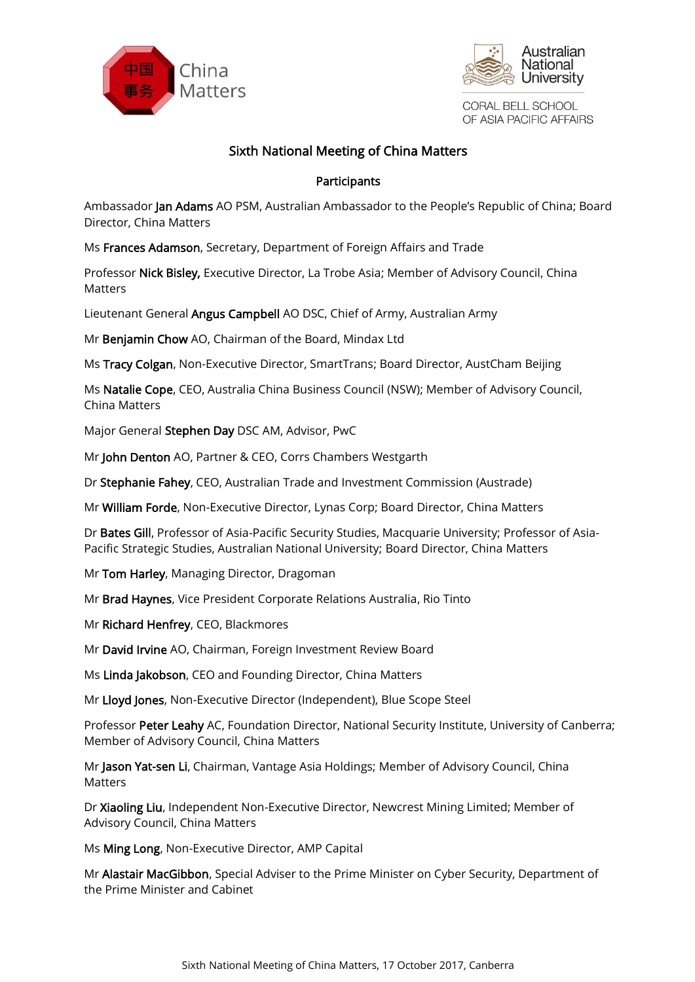



CORAL BELL SCHOOL OF ASIA PACIFIC AFFAIRS

# Sixth National Meeting of China Matters

### Participants

Ambassador Jan Adams AO PSM, Australian Ambassador to the People's Republic of China; Board Director, China Matters

Ms Frances Adamson, Secretary, Department of Foreign Affairs and Trade

Professor Nick Bisley, Executive Director, La Trobe Asia; Member of Advisory Council, China Matters

Lieutenant General Angus Campbell AO DSC, Chief of Army, Australian Army

Mr Benjamin Chow AO, Chairman of the Board, Mindax Ltd

Ms Tracy Colgan, Non-Executive Director, SmartTrans; Board Director, AustCham Beijing

Ms Natalie Cope, CEO, Australia China Business Council (NSW); Member of Advisory Council, China Matters

Major General Stephen Day DSC AM, Advisor, PwC

Mr John Denton AO, Partner & CEO, Corrs Chambers Westgarth

Dr Stephanie Fahey, CEO, Australian Trade and Investment Commission (Austrade)

Mr William Forde, Non-Executive Director, Lynas Corp; Board Director, China Matters

Dr Bates Gill, Professor of Asia-Pacific Security Studies, Macquarie University; Professor of Asia-Pacific Strategic Studies, Australian National University; Board Director, China Matters

Mr Tom Harley, Managing Director, Dragoman

Mr Brad Haynes, Vice President Corporate Relations Australia, Rio Tinto

Mr Richard Henfrey, CEO, Blackmores

Mr David Irvine AO, Chairman, Foreign Investment Review Board

Ms Linda Jakobson, CEO and Founding Director, China Matters

Mr Lloyd Jones, Non-Executive Director (Independent), Blue Scope Steel

Professor Peter Leahy AC, Foundation Director, National Security Institute, University of Canberra; Member of Advisory Council, China Matters

Mr Jason Yat-sen Li, Chairman, Vantage Asia Holdings; Member of Advisory Council, China Matters

Dr Xiaoling Liu, Independent Non-Executive Director, Newcrest Mining Limited; Member of Advisory Council, China Matters

Ms Ming Long, Non-Executive Director, AMP Capital

Mr Alastair MacGibbon, Special Adviser to the Prime Minister on Cyber Security, Department of the Prime Minister and Cabinet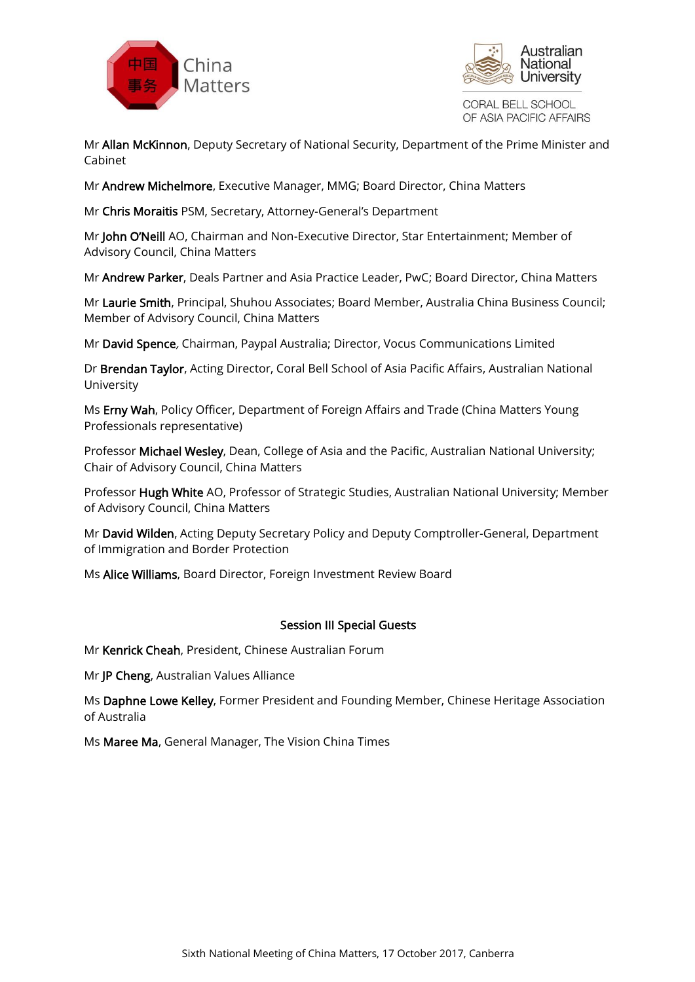



CORAL BELL SCHOOL OF ASIA PACIFIC AFFAIRS

Mr Allan McKinnon, Deputy Secretary of National Security, Department of the Prime Minister and Cabinet

Mr Andrew Michelmore, Executive Manager, MMG; Board Director, China Matters

Mr Chris Moraitis PSM, Secretary, Attorney-General's Department

Mr John O'Neill AO, Chairman and Non-Executive Director, Star Entertainment; Member of Advisory Council, China Matters

Mr Andrew Parker, Deals Partner and Asia Practice Leader, PwC; Board Director, China Matters

Mr Laurie Smith, Principal, Shuhou Associates; Board Member, Australia China Business Council; Member of Advisory Council, China Matters

Mr David Spence, Chairman, Paypal Australia; Director, Vocus Communications Limited

Dr Brendan Taylor, Acting Director, Coral Bell School of Asia Pacific Affairs, Australian National University

Ms Erny Wah, Policy Officer, Department of Foreign Affairs and Trade (China Matters Young Professionals representative)

Professor Michael Wesley, Dean, College of Asia and the Pacific, Australian National University; Chair of Advisory Council, China Matters

Professor Hugh White AO, Professor of Strategic Studies, Australian National University; Member of Advisory Council, China Matters

Mr David Wilden, Acting Deputy Secretary Policy and Deputy Comptroller-General, Department of Immigration and Border Protection

Ms Alice Williams, Board Director, Foreign Investment Review Board

#### Session III Special Guests

Mr Kenrick Cheah, President, Chinese Australian Forum

Mr JP Cheng, Australian Values Alliance

Ms Daphne Lowe Kelley, Former President and Founding Member, Chinese Heritage Association of Australia

Ms Maree Ma, General Manager, The Vision China Times